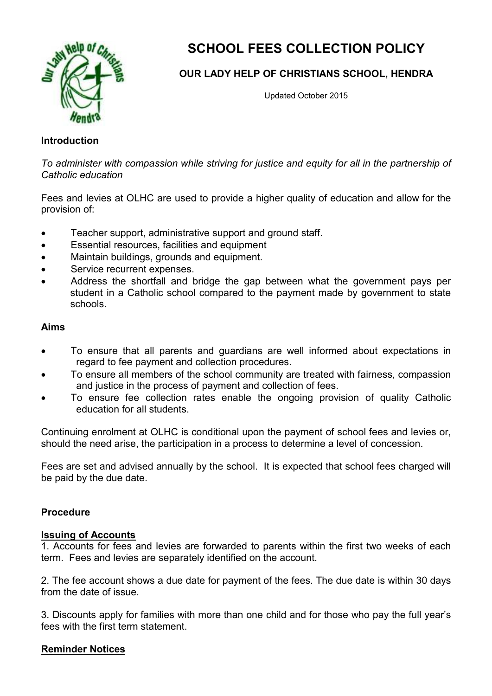

# **SCHOOL FEES COLLECTION POLICY**

## **OUR LADY HELP OF CHRISTIANS SCHOOL, HENDRA**

Updated October 2015

#### **Introduction**

*To administer with compassion while striving for justice and equity for all in the partnership of Catholic education* 

Fees and levies at OLHC are used to provide a higher quality of education and allow for the provision of:

- Teacher support, administrative support and ground staff.
- Essential resources, facilities and equipment
- Maintain buildings, grounds and equipment.
- Service recurrent expenses.
- Address the shortfall and bridge the gap between what the government pays per student in a Catholic school compared to the payment made by government to state schools.

## **Aims**

- To ensure that all parents and guardians are well informed about expectations in regard to fee payment and collection procedures.
- To ensure all members of the school community are treated with fairness, compassion and justice in the process of payment and collection of fees.
- To ensure fee collection rates enable the ongoing provision of quality Catholic education for all students.

Continuing enrolment at OLHC is conditional upon the payment of school fees and levies or, should the need arise, the participation in a process to determine a level of concession.

Fees are set and advised annually by the school. It is expected that school fees charged will be paid by the due date.

## **Procedure**

## **Issuing of Accounts**

1. Accounts for fees and levies are forwarded to parents within the first two weeks of each term. Fees and levies are separately identified on the account.

2. The fee account shows a due date for payment of the fees. The due date is within 30 days from the date of issue.

3. Discounts apply for families with more than one child and for those who pay the full year's fees with the first term statement.

## **Reminder Notices**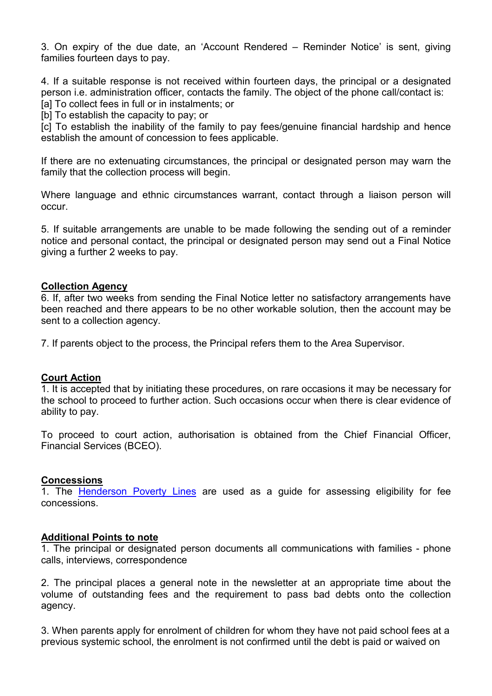3. On expiry of the due date, an 'Account Rendered – Reminder Notice' is sent, giving families fourteen days to pay.

4. If a suitable response is not received within fourteen days, the principal or a designated person i.e. administration officer, contacts the family. The object of the phone call/contact is:

[a] To collect fees in full or in instalments; or

[b] To establish the capacity to pay; or

[c] To establish the inability of the family to pay fees/genuine financial hardship and hence establish the amount of concession to fees applicable.

If there are no extenuating circumstances, the principal or designated person may warn the family that the collection process will begin.

Where language and ethnic circumstances warrant, contact through a liaison person will occur.

5. If suitable arrangements are unable to be made following the sending out of a reminder notice and personal contact, the principal or designated person may send out a Final Notice giving a further 2 weeks to pay.

#### **Collection Agency**

6. If, after two weeks from sending the Final Notice letter no satisfactory arrangements have been reached and there appears to be no other workable solution, then the account may be sent to a collection agency.

7. If parents object to the process, the Principal refers them to the Area Supervisor.

#### **Court Action**

1. It is accepted that by initiating these procedures, on rare occasions it may be necessary for the school to proceed to further action. Such occasions occur when there is clear evidence of ability to pay.

To proceed to court action, authorisation is obtained from the Chief Financial Officer, Financial Services (BCEO).

#### **Concessions**

1. The Henderson Poverty Lines are used as a guide for assessing eligibility for fee concessions.

#### **Additional Points to note**

1. The principal or designated person documents all communications with families - phone calls, interviews, correspondence

2. The principal places a general note in the newsletter at an appropriate time about the volume of outstanding fees and the requirement to pass bad debts onto the collection agency.

3. When parents apply for enrolment of children for whom they have not paid school fees at a previous systemic school, the enrolment is not confirmed until the debt is paid or waived on